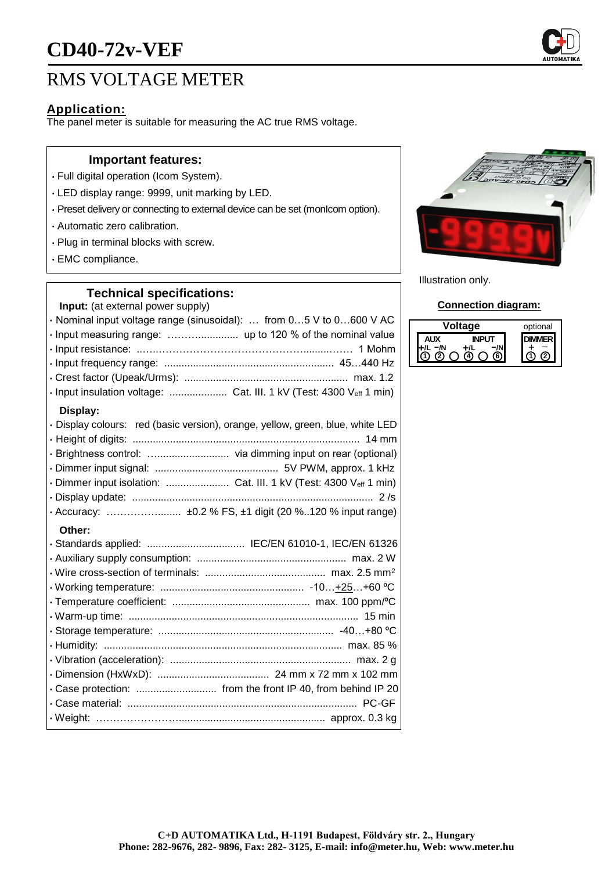# **CD40-72v-VEF**

## RMS VOLTAGE METER

### **Application:**

The panel meter is suitable for measuring the AC true RMS voltage.

#### **Important features:**

- Full digital operation (Icom System).
- LED display range: 9999, unit marking by LED.
- Preset delivery or connecting to external device can be set (monIcom option).
- Automatic zero calibration.
- Plug in terminal blocks with screw.
- EMC compliance.

#### **Technical specifications:**

**Input:** (at external power supply)

| · Nominal input voltage range (sinusoidal):  from 05 V to 0600 V AC            |
|--------------------------------------------------------------------------------|
| · Input measuring range:  up to 120 % of the nominal value                     |
|                                                                                |
|                                                                                |
|                                                                                |
| · Input insulation voltage:  Cat. III. 1 kV (Test: 4300 Veff 1 min)            |
| Display:                                                                       |
| · Display colours: red (basic version), orange, yellow, green, blue, white LED |
|                                                                                |
|                                                                                |
|                                                                                |
| · Dimmer input isolation:  Cat. III. 1 kV (Test: 4300 Veff 1 min)              |
|                                                                                |
| · Accuracy:  ±0.2 % FS, ±1 digit (20 %120 % input range)                       |
| Other:                                                                         |
|                                                                                |
|                                                                                |
|                                                                                |
|                                                                                |
|                                                                                |
|                                                                                |
|                                                                                |
|                                                                                |
|                                                                                |
|                                                                                |

• Case protection: ............................ from the front IP 40, from behind IP 20 • Case material: ................................................................................ PC-GF • Weight: ……………………................................................... approx. 0.3 kg



Illustration only.

#### **Connection diagram:**